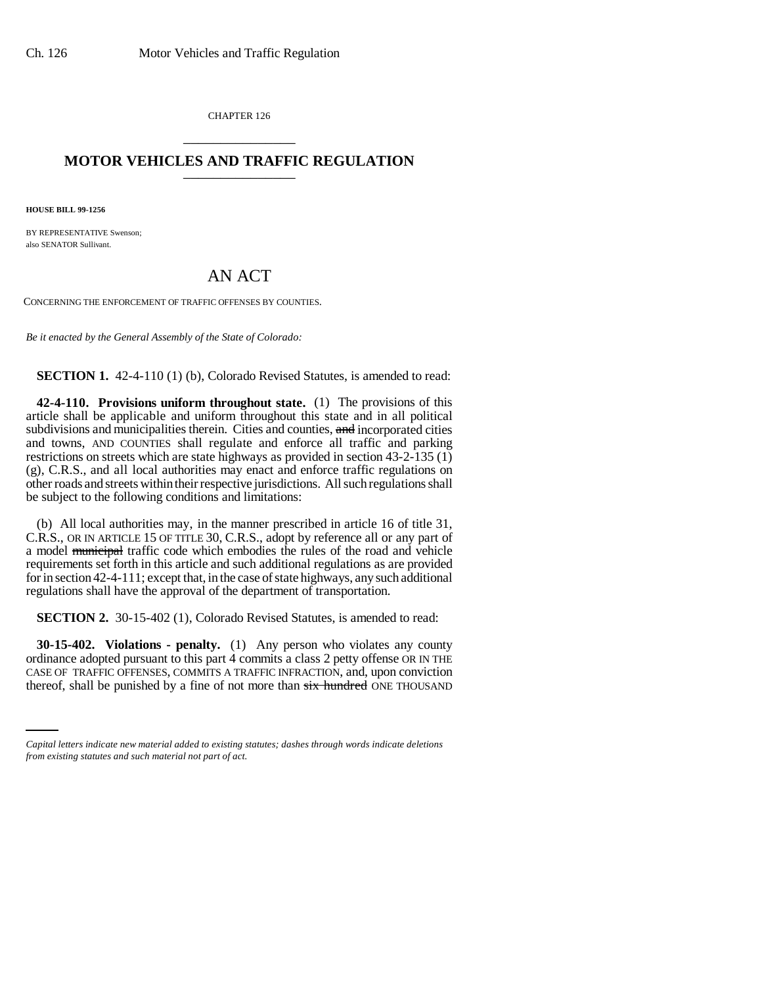CHAPTER 126 \_\_\_\_\_\_\_\_\_\_\_\_\_\_\_

## **MOTOR VEHICLES AND TRAFFIC REGULATION** \_\_\_\_\_\_\_\_\_\_\_\_\_\_\_

**HOUSE BILL 99-1256**

BY REPRESENTATIVE Swenson; also SENATOR Sullivant.

## AN ACT

CONCERNING THE ENFORCEMENT OF TRAFFIC OFFENSES BY COUNTIES.

*Be it enacted by the General Assembly of the State of Colorado:*

**SECTION 1.** 42-4-110 (1) (b), Colorado Revised Statutes, is amended to read:

**42-4-110. Provisions uniform throughout state.** (1) The provisions of this article shall be applicable and uniform throughout this state and in all political subdivisions and municipalities therein. Cities and counties, and incorporated cities and towns, AND COUNTIES shall regulate and enforce all traffic and parking restrictions on streets which are state highways as provided in section 43-2-135 (1) (g), C.R.S., and all local authorities may enact and enforce traffic regulations on other roads and streets within their respective jurisdictions. All such regulations shall be subject to the following conditions and limitations:

(b) All local authorities may, in the manner prescribed in article 16 of title 31, C.R.S., OR IN ARTICLE 15 OF TITLE 30, C.R.S., adopt by reference all or any part of a model municipal traffic code which embodies the rules of the road and vehicle requirements set forth in this article and such additional regulations as are provided for in section 42-4-111; except that, in the case of state highways, any such additional regulations shall have the approval of the department of transportation.

**SECTION 2.** 30-15-402 (1), Colorado Revised Statutes, is amended to read:

CASE OF TRAFFIC OFFENSES, COMMITS A TRAFFIC INFRACTION, and, upon conviction **30-15-402. Violations - penalty.** (1) Any person who violates any county ordinance adopted pursuant to this part 4 commits a class 2 petty offense OR IN THE thereof, shall be punished by a fine of not more than six hundred ONE THOUSAND

*Capital letters indicate new material added to existing statutes; dashes through words indicate deletions from existing statutes and such material not part of act.*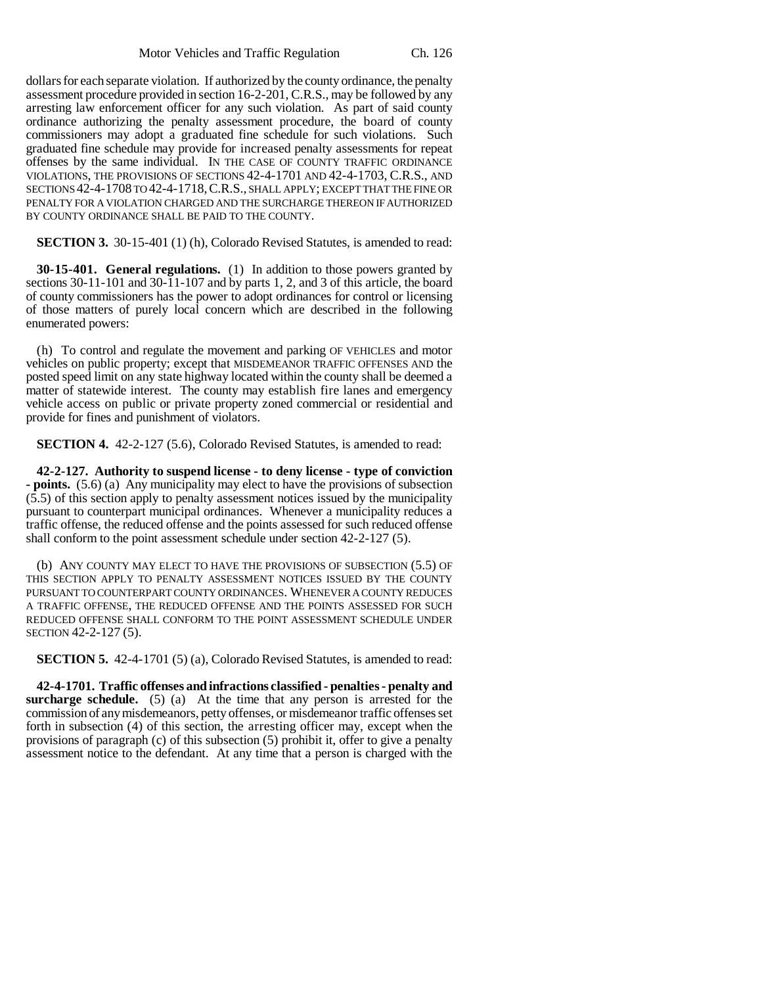dollars for each separate violation. If authorized by the county ordinance, the penalty assessment procedure provided in section 16-2-201, C.R.S., may be followed by any arresting law enforcement officer for any such violation. As part of said county ordinance authorizing the penalty assessment procedure, the board of county commissioners may adopt a graduated fine schedule for such violations. Such graduated fine schedule may provide for increased penalty assessments for repeat offenses by the same individual. IN THE CASE OF COUNTY TRAFFIC ORDINANCE VIOLATIONS, THE PROVISIONS OF SECTIONS 42-4-1701 AND 42-4-1703, C.R.S., AND SECTIONS 42-4-1708 TO 42-4-1718,C.R.S., SHALL APPLY; EXCEPT THAT THE FINE OR PENALTY FOR A VIOLATION CHARGED AND THE SURCHARGE THEREON IF AUTHORIZED BY COUNTY ORDINANCE SHALL BE PAID TO THE COUNTY.

**SECTION 3.** 30-15-401 (1) (h), Colorado Revised Statutes, is amended to read:

**30-15-401. General regulations.** (1) In addition to those powers granted by sections 30-11-101 and 30-11-107 and by parts 1, 2, and 3 of this article, the board of county commissioners has the power to adopt ordinances for control or licensing of those matters of purely local concern which are described in the following enumerated powers:

(h) To control and regulate the movement and parking OF VEHICLES and motor vehicles on public property; except that MISDEMEANOR TRAFFIC OFFENSES AND the posted speed limit on any state highway located within the county shall be deemed a matter of statewide interest. The county may establish fire lanes and emergency vehicle access on public or private property zoned commercial or residential and provide for fines and punishment of violators.

**SECTION 4.** 42-2-127 (5.6), Colorado Revised Statutes, is amended to read:

**42-2-127. Authority to suspend license - to deny license - type of conviction - points.** (5.6) (a) Any municipality may elect to have the provisions of subsection (5.5) of this section apply to penalty assessment notices issued by the municipality pursuant to counterpart municipal ordinances. Whenever a municipality reduces a traffic offense, the reduced offense and the points assessed for such reduced offense shall conform to the point assessment schedule under section 42-2-127 (5).

(b) ANY COUNTY MAY ELECT TO HAVE THE PROVISIONS OF SUBSECTION (5.5) OF THIS SECTION APPLY TO PENALTY ASSESSMENT NOTICES ISSUED BY THE COUNTY PURSUANT TO COUNTERPART COUNTY ORDINANCES. WHENEVER A COUNTY REDUCES A TRAFFIC OFFENSE, THE REDUCED OFFENSE AND THE POINTS ASSESSED FOR SUCH REDUCED OFFENSE SHALL CONFORM TO THE POINT ASSESSMENT SCHEDULE UNDER SECTION 42-2-127 (5).

**SECTION 5.** 42-4-1701 (5) (a), Colorado Revised Statutes, is amended to read:

**42-4-1701. Traffic offenses and infractions classified - penalties - penalty and surcharge schedule.** (5) (a) At the time that any person is arrested for the commission of any misdemeanors, petty offenses, or misdemeanor traffic offenses set forth in subsection (4) of this section, the arresting officer may, except when the provisions of paragraph (c) of this subsection (5) prohibit it, offer to give a penalty assessment notice to the defendant. At any time that a person is charged with the